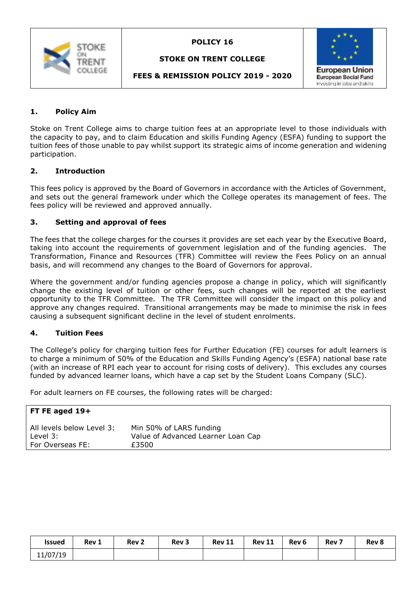

### **STOKE ON TRENT COLLEGE**



## **FEES & REMISSION POLICY 2019 - 2020**

## **1. Policy Aim**

Stoke on Trent College aims to charge tuition fees at an appropriate level to those individuals with the capacity to pay, and to claim Education and skills Funding Agency (ESFA) funding to support the tuition fees of those unable to pay whilst support its strategic aims of income generation and widening participation.

#### **2. Introduction**

This fees policy is approved by the Board of Governors in accordance with the Articles of Government, and sets out the general framework under which the College operates its management of fees. The fees policy will be reviewed and approved annually.

#### **3. Setting and approval of fees**

The fees that the college charges for the courses it provides are set each year by the Executive Board, taking into account the requirements of government legislation and of the funding agencies. The Transformation, Finance and Resources (TFR) Committee will review the Fees Policy on an annual basis, and will recommend any changes to the Board of Governors for approval.

Where the government and/or funding agencies propose a change in policy, which will significantly change the existing level of tuition or other fees, such changes will be reported at the earliest opportunity to the TFR Committee. The TFR Committee will consider the impact on this policy and approve any changes required. Transitional arrangements may be made to minimise the risk in fees causing a subsequent significant decline in the level of student enrolments.

## **4. Tuition Fees**

The College's policy for charging tuition fees for Further Education (FE) courses for adult learners is to charge a minimum of 50% of the Education and Skills Funding Agency's (ESFA) national base rate (with an increase of RPI each year to account for rising costs of delivery). This excludes any courses funded by advanced learner loans, which have a cap set by the Student Loans Company (SLC).

For adult learners on FE courses, the following rates will be charged:

| FT FE aged $19+$          |                                    |
|---------------------------|------------------------------------|
| All levels below Level 3: | Min 50% of LARS funding            |
| Level $3:$                | Value of Advanced Learner Loan Cap |
| For Overseas FE:          | £3500                              |

| <b>Issued</b> | Rev 1 | Rev <sub>2</sub> | Rev <sub>3</sub> | <b>Rev 11</b> | <b>Rev 11</b> | Rev <sub>6</sub> | Rev <sub>7</sub> | Rev 8 |
|---------------|-------|------------------|------------------|---------------|---------------|------------------|------------------|-------|
| 11/07/19      |       |                  |                  |               |               |                  |                  |       |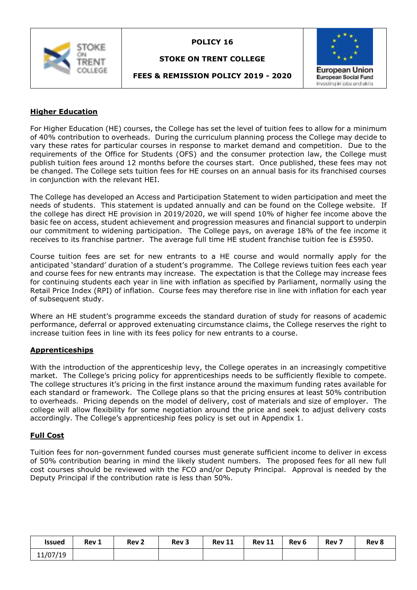

#### **STOKE ON TRENT COLLEGE**

**FEES & REMISSION POLICY 2019 - 2020**



# **Higher Education**

For Higher Education (HE) courses, the College has set the level of tuition fees to allow for a minimum of 40% contribution to overheads. During the curriculum planning process the College may decide to vary these rates for particular courses in response to market demand and competition. Due to the requirements of the Office for Students (OFS) and the consumer protection law, the College must publish tuition fees around 12 months before the courses start. Once published, these fees may not be changed. The College sets tuition fees for HE courses on an annual basis for its franchised courses in conjunction with the relevant HEI.

The College has developed an Access and Participation Statement to widen participation and meet the needs of students. This statement is updated annually and can be found on the College website. If the college has direct HE provision in 2019/2020, we will spend 10% of higher fee income above the basic fee on access, student achievement and progression measures and financial support to underpin our commitment to widening participation. The College pays, on average 18% of the fee income it receives to its franchise partner. The average full time HE student franchise tuition fee is £5950.

Course tuition fees are set for new entrants to a HE course and would normally apply for the anticipated 'standard' duration of a student's programme. The College reviews tuition fees each year and course fees for new entrants may increase. The expectation is that the College may increase fees for continuing students each year in line with inflation as specified by Parliament, normally using the Retail Price Index (RPI) of inflation. Course fees may therefore rise in line with inflation for each year of subsequent study.

Where an HE student's programme exceeds the standard duration of study for reasons of academic performance, deferral or approved extenuating circumstance claims, the College reserves the right to increase tuition fees in line with its fees policy for new entrants to a course.

## **Apprenticeships**

With the introduction of the apprenticeship levy, the College operates in an increasingly competitive market. The College's pricing policy for apprenticeships needs to be sufficiently flexible to compete. The college structures it's pricing in the first instance around the maximum funding rates available for each standard or framework. The College plans so that the pricing ensures at least 50% contribution to overheads. Pricing depends on the model of delivery, cost of materials and size of employer. The college will allow flexibility for some negotiation around the price and seek to adjust delivery costs accordingly. The College's apprenticeship fees policy is set out in Appendix 1.

## **Full Cost**

Tuition fees for non-government funded courses must generate sufficient income to deliver in excess of 50% contribution bearing in mind the likely student numbers. The proposed fees for all new full cost courses should be reviewed with the FCO and/or Deputy Principal. Approval is needed by the Deputy Principal if the contribution rate is less than 50%.

| <b>Issued</b> | Rev 1 | Rev <sub>2</sub> | Rev <sub>3</sub> | <b>Rev 11</b> | <b>Rev 11</b> | Rev 6 | Rev <sub>7</sub> | Rev 8 |
|---------------|-------|------------------|------------------|---------------|---------------|-------|------------------|-------|
| 11/07/19      |       |                  |                  |               |               |       |                  |       |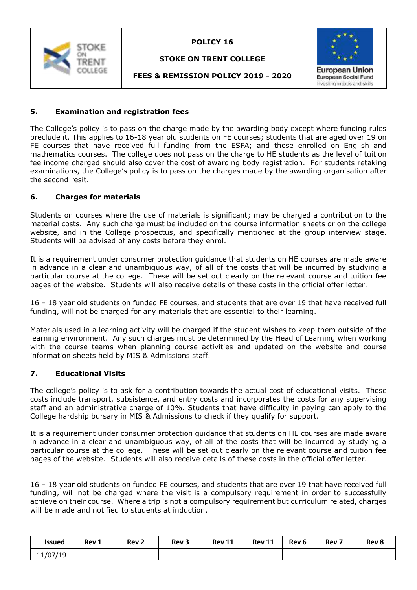

# **STOKE ON TRENT COLLEGE**



**FEES & REMISSION POLICY 2019 - 2020**

# **5. Examination and registration fees**

The College's policy is to pass on the charge made by the awarding body except where funding rules preclude it. This applies to 16-18 year old students on FE courses; students that are aged over 19 on FE courses that have received full funding from the ESFA; and those enrolled on English and mathematics courses. The college does not pass on the charge to HE students as the level of tuition fee income charged should also cover the cost of awarding body registration. For students retaking examinations, the College's policy is to pass on the charges made by the awarding organisation after the second resit.

## **6. Charges for materials**

Students on courses where the use of materials is significant; may be charged a contribution to the material costs. Any such charge must be included on the course information sheets or on the college website, and in the College prospectus, and specifically mentioned at the group interview stage. Students will be advised of any costs before they enrol.

It is a requirement under consumer protection guidance that students on HE courses are made aware in advance in a clear and unambiguous way, of all of the costs that will be incurred by studying a particular course at the college. These will be set out clearly on the relevant course and tuition fee pages of the website. Students will also receive details of these costs in the official offer letter.

16 – 18 year old students on funded FE courses, and students that are over 19 that have received full funding, will not be charged for any materials that are essential to their learning.

Materials used in a learning activity will be charged if the student wishes to keep them outside of the learning environment. Any such charges must be determined by the Head of Learning when working with the course teams when planning course activities and updated on the website and course information sheets held by MIS & Admissions staff.

## **7. Educational Visits**

The college's policy is to ask for a contribution towards the actual cost of educational visits. These costs include transport, subsistence, and entry costs and incorporates the costs for any supervising staff and an administrative charge of 10%. Students that have difficulty in paying can apply to the College hardship bursary in MIS & Admissions to check if they qualify for support.

It is a requirement under consumer protection guidance that students on HE courses are made aware in advance in a clear and unambiguous way, of all of the costs that will be incurred by studying a particular course at the college. These will be set out clearly on the relevant course and tuition fee pages of the website. Students will also receive details of these costs in the official offer letter.

16 – 18 year old students on funded FE courses, and students that are over 19 that have received full funding, will not be charged where the visit is a compulsory requirement in order to successfully achieve on their course. Where a trip is not a compulsory requirement but curriculum related, charges will be made and notified to students at induction.

| Issued   | Rev 1 | Rev <sub>2</sub> | Rev <sub>3</sub> | <b>Rev 11</b> | <b>Rev 11</b> | Rev <sub>6</sub> | Rev <sub>7</sub> | Rev 8 |
|----------|-------|------------------|------------------|---------------|---------------|------------------|------------------|-------|
| 11/07/19 |       |                  |                  |               |               |                  |                  |       |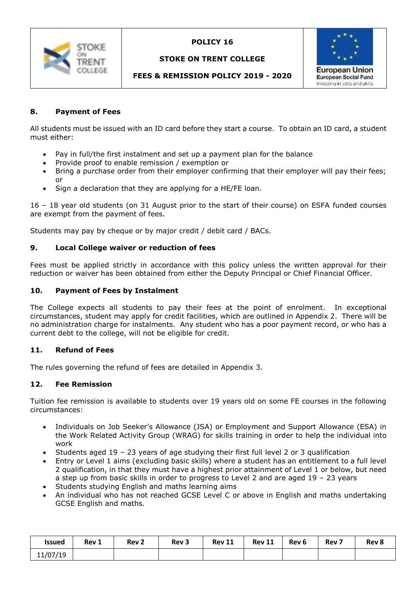

# **STOKE ON TRENT COLLEGE**



# **FEES & REMISSION POLICY 2019 - 2020**

## **8. Payment of Fees**

All students must be issued with an ID card before they start a course. To obtain an ID card, a student must either:

- Pay in full/the first instalment and set up a payment plan for the balance
- Provide proof to enable remission / exemption or
- Bring a purchase order from their employer confirming that their employer will pay their fees; or
- Sign a declaration that they are applying for a HE/FE loan.

16 – 18 year old students (on 31 August prior to the start of their course) on ESFA funded courses are exempt from the payment of fees.

Students may pay by cheque or by major credit / debit card / BACs.

#### **9. Local College waiver or reduction of fees**

Fees must be applied strictly in accordance with this policy unless the written approval for their reduction or waiver has been obtained from either the Deputy Principal or Chief Financial Officer.

#### **10. Payment of Fees by Instalment**

The College expects all students to pay their fees at the point of enrolment. In exceptional circumstances, student may apply for credit facilities, which are outlined in Appendix 2. There will be no administration charge for instalments. Any student who has a poor payment record, or who has a current debt to the college, will not be eligible for credit.

## **11. Refund of Fees**

The rules governing the refund of fees are detailed in Appendix 3.

#### **12. Fee Remission**

Tuition fee remission is available to students over 19 years old on some FE courses in the following circumstances:

- Individuals on Job Seeker's Allowance (JSA) or Employment and Support Allowance (ESA) in the Work Related Activity Group (WRAG) for skills training in order to help the individual into work
- Students aged 19 23 years of age studying their first full level 2 or 3 qualification
- Entry or Level 1 aims (excluding basic skills) where a student has an entitlement to a full level 2 qualification, in that they must have a highest prior attainment of Level 1 or below, but need a step up from basic skills in order to progress to Level 2 and are aged 19 – 23 years
- Students studying English and maths learning aims
- An individual who has not reached GCSE Level C or above in English and maths undertaking GCSE English and maths.

| <b>Issued</b> | Rev 1 | Rev <sub>2</sub> | Rev <sub>3</sub> | <b>Rev 11</b> | <b>Rev 11</b> | Rev <sub>6</sub> | Rev <sub>7</sub> | Rev 8 |
|---------------|-------|------------------|------------------|---------------|---------------|------------------|------------------|-------|
| 11/07/19      |       |                  |                  |               |               |                  |                  |       |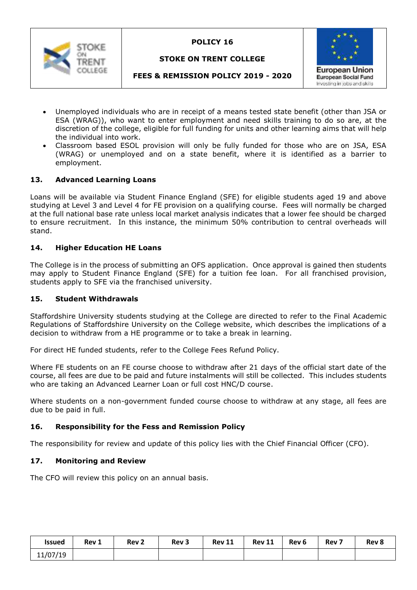

# **STOKE ON TRENT COLLEGE**



# **FEES & REMISSION POLICY 2019 - 2020**

- Unemployed individuals who are in receipt of a means tested state benefit (other than JSA or ESA (WRAG)), who want to enter employment and need skills training to do so are, at the discretion of the college, eligible for full funding for units and other learning aims that will help the individual into work.
- Classroom based ESOL provision will only be fully funded for those who are on JSA, ESA (WRAG) or unemployed and on a state benefit, where it is identified as a barrier to employment.

## **13. Advanced Learning Loans**

Loans will be available via Student Finance England (SFE) for eligible students aged 19 and above studying at Level 3 and Level 4 for FE provision on a qualifying course. Fees will normally be charged at the full national base rate unless local market analysis indicates that a lower fee should be charged to ensure recruitment. In this instance, the minimum 50% contribution to central overheads will stand.

## **14. Higher Education HE Loans**

The College is in the process of submitting an OFS application. Once approval is gained then students may apply to Student Finance England (SFE) for a tuition fee loan. For all franchised provision, students apply to SFE via the franchised university.

## **15. Student Withdrawals**

Staffordshire University students studying at the College are directed to refer to the Final Academic Regulations of Staffordshire University on the College website, which describes the implications of a decision to withdraw from a HE programme or to take a break in learning.

For direct HE funded students, refer to the College Fees Refund Policy.

Where FE students on an FE course choose to withdraw after 21 days of the official start date of the course, all fees are due to be paid and future instalments will still be collected. This includes students who are taking an Advanced Learner Loan or full cost HNC/D course.

Where students on a non-government funded course choose to withdraw at any stage, all fees are due to be paid in full.

## **16. Responsibility for the Fess and Remission Policy**

The responsibility for review and update of this policy lies with the Chief Financial Officer (CFO).

## **17. Monitoring and Review**

The CFO will review this policy on an annual basis.

| <b>Issued</b> | Rev 1 | Rev <sub>2</sub> | Rev <sub>3</sub> | <b>Rev 11</b> | <b>Rev 11</b> | Rev 6 | Rev <sub>7</sub> | Rev 8 |
|---------------|-------|------------------|------------------|---------------|---------------|-------|------------------|-------|
| 11/07/19      |       |                  |                  |               |               |       |                  |       |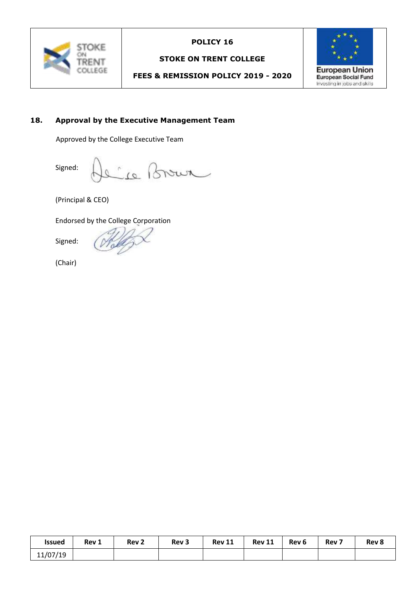

# **STOKE ON TRENT COLLEGE**

# **FEES & REMISSION POLICY 2019 - 2020**



# **18. Approval by the Executive Management Team**

Approved by the College Executive Team

Signed: Le Brown

(Principal & CEO)

Endorsed by the College Corporation

Signed:

(Chair)

| <b>Issued</b> | Rev 1 | Rev <sub>2</sub> | Rev <sub>3</sub> | <b>Rev 11</b> | <b>Rev 11</b> | Rev <sub>6</sub> | Rev <sub>7</sub> | Rev 8 |
|---------------|-------|------------------|------------------|---------------|---------------|------------------|------------------|-------|
| 11/07/19      |       |                  |                  |               |               |                  |                  |       |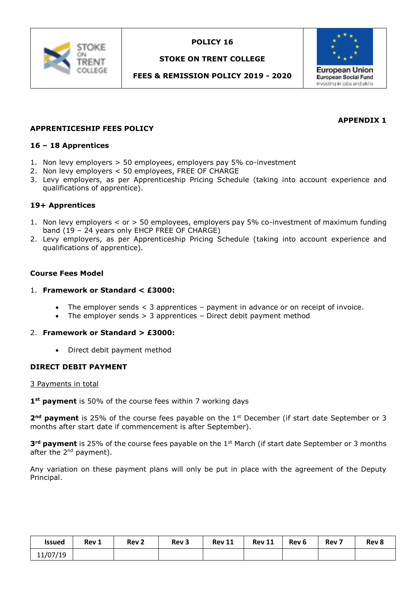

# **STOKE ON TRENT COLLEGE**

# **FEES & REMISSION POLICY 2019 - 2020**



# **APPENDIX 1**

## **APPRENTICESHIP FEES POLICY**

#### **16 – 18 Apprentices**

- 1. Non levy employers > 50 employees, employers pay 5% co-investment
- 2. Non levy employers < 50 employees, FREE OF CHARGE
- 3. Levy employers, as per Apprenticeship Pricing Schedule (taking into account experience and qualifications of apprentice).

#### **19+ Apprentices**

- 1. Non levy employers < or > 50 employees, employers pay 5% co-investment of maximum funding band (19 – 24 years only EHCP FREE OF CHARGE)
- 2. Levy employers, as per Apprenticeship Pricing Schedule (taking into account experience and qualifications of apprentice).

#### **Course Fees Model**

#### 1. **Framework or Standard < £3000:**

- The employer sends < 3 apprentices payment in advance or on receipt of invoice.
- The employer sends > 3 apprentices Direct debit payment method

#### 2. **Framework or Standard > £3000:**

Direct debit payment method

## **DIRECT DEBIT PAYMENT**

#### 3 Payments in total

**1st payment** is 50% of the course fees within 7 working days

**2<sup>nd</sup> payment** is 25% of the course fees payable on the 1<sup>st</sup> December (if start date September or 3 months after start date if commencement is after September).

**3rd payment** is 25% of the course fees payable on the 1st March (if start date September or 3 months after the 2<sup>nd</sup> payment).

Any variation on these payment plans will only be put in place with the agreement of the Deputy Principal.

| <b>Issued</b> | Rev 1 | Rev <sub>2</sub> | Rev <sub>3</sub> | <b>Rev 11</b> | <b>Rev 11</b> | Rev <sub>6</sub> | Rev <sub>7</sub> | Rev 8 |
|---------------|-------|------------------|------------------|---------------|---------------|------------------|------------------|-------|
| 11/07/19      |       |                  |                  |               |               |                  |                  |       |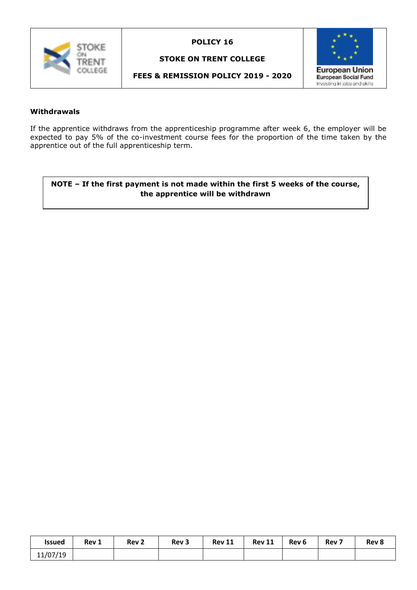

# **STOKE ON TRENT COLLEGE**

# **FEES & REMISSION POLICY 2019 - 2020**



#### **Withdrawals**

If the apprentice withdraws from the apprenticeship programme after week 6, the employer will be expected to pay 5% of the co-investment course fees for the proportion of the time taken by the apprentice out of the full apprenticeship term.

# **NOTE – If the first payment is not made within the first 5 weeks of the course, the apprentice will be withdrawn**

| <b>Issued</b> | Rev 1 | Rev <sub>2</sub> | Rev <sub>3</sub> | <b>Rev 11</b> | <b>Rev 11</b> | Rev 6 | Rev <sub>7</sub> | Rev 8 |
|---------------|-------|------------------|------------------|---------------|---------------|-------|------------------|-------|
| 11/07/19      |       |                  |                  |               |               |       |                  |       |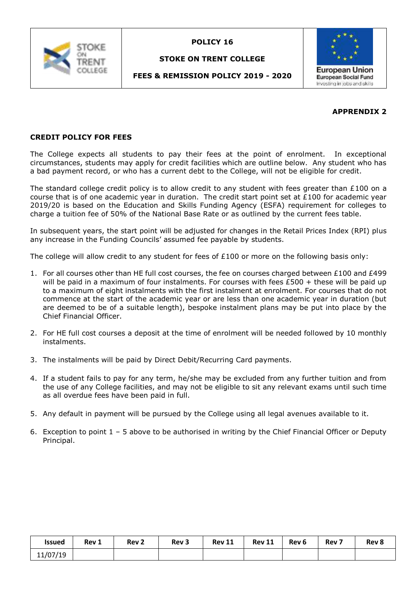

# **STOKE ON TRENT COLLEGE**

# **FEES & REMISSION POLICY 2019 - 2020**



# **APPRENDIX 2**

# **CREDIT POLICY FOR FEES**

The College expects all students to pay their fees at the point of enrolment. In exceptional circumstances, students may apply for credit facilities which are outline below. Any student who has a bad payment record, or who has a current debt to the College, will not be eligible for credit.

The standard college credit policy is to allow credit to any student with fees greater than  $£100$  on a course that is of one academic year in duration. The credit start point set at £100 for academic year 2019/20 is based on the Education and Skills Funding Agency (ESFA) requirement for colleges to charge a tuition fee of 50% of the National Base Rate or as outlined by the current fees table.

In subsequent years, the start point will be adjusted for changes in the Retail Prices Index (RPI) plus any increase in the Funding Councils' assumed fee payable by students.

The college will allow credit to any student for fees of £100 or more on the following basis only:

- 1. For all courses other than HE full cost courses, the fee on courses charged between £100 and £499 will be paid in a maximum of four instalments. For courses with fees  $£500 +$  these will be paid up to a maximum of eight instalments with the first instalment at enrolment. For courses that do not commence at the start of the academic year or are less than one academic year in duration (but are deemed to be of a suitable length), bespoke instalment plans may be put into place by the Chief Financial Officer.
- 2. For HE full cost courses a deposit at the time of enrolment will be needed followed by 10 monthly instalments.
- 3. The instalments will be paid by Direct Debit/Recurring Card payments.
- 4. If a student fails to pay for any term, he/she may be excluded from any further tuition and from the use of any College facilities, and may not be eligible to sit any relevant exams until such time as all overdue fees have been paid in full.
- 5. Any default in payment will be pursued by the College using all legal avenues available to it.
- 6. Exception to point  $1 5$  above to be authorised in writing by the Chief Financial Officer or Deputy Principal.

| <b>Issued</b> | Rev 1 | Rev <sub>2</sub> | Rev <sub>3</sub> | <b>Rev 11</b> | <b>Rev 11</b> | Rev <sub>6</sub> | Rev <sub>7</sub> | Rev 8 |
|---------------|-------|------------------|------------------|---------------|---------------|------------------|------------------|-------|
| 11/07/19      |       |                  |                  |               |               |                  |                  |       |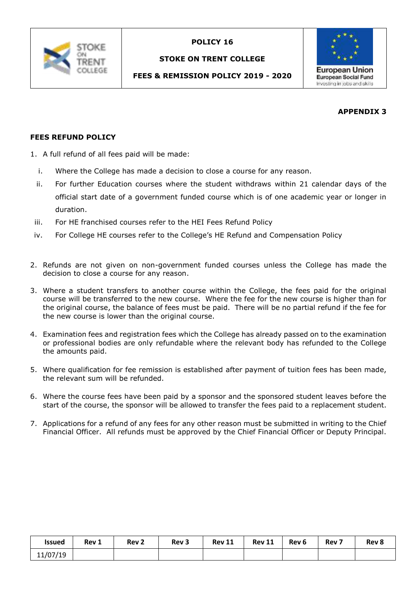

# **STOKE ON TRENT COLLEGE**

# **FEES & REMISSION POLICY 2019 - 2020**



# **APPENDIX 3**

# **FEES REFUND POLICY**

- 1. A full refund of all fees paid will be made:
	- i. Where the College has made a decision to close a course for any reason.
	- ii. For further Education courses where the student withdraws within 21 calendar days of the official start date of a government funded course which is of one academic year or longer in duration.
- iii. For HE franchised courses refer to the HEI Fees Refund Policy
- iv. For College HE courses refer to the College's HE Refund and Compensation Policy
- 2. Refunds are not given on non-government funded courses unless the College has made the decision to close a course for any reason.
- 3. Where a student transfers to another course within the College, the fees paid for the original course will be transferred to the new course. Where the fee for the new course is higher than for the original course, the balance of fees must be paid. There will be no partial refund if the fee for the new course is lower than the original course.
- 4. Examination fees and registration fees which the College has already passed on to the examination or professional bodies are only refundable where the relevant body has refunded to the College the amounts paid.
- 5. Where qualification for fee remission is established after payment of tuition fees has been made, the relevant sum will be refunded.
- 6. Where the course fees have been paid by a sponsor and the sponsored student leaves before the start of the course, the sponsor will be allowed to transfer the fees paid to a replacement student.
- 7. Applications for a refund of any fees for any other reason must be submitted in writing to the Chief Financial Officer. All refunds must be approved by the Chief Financial Officer or Deputy Principal.

| <b>Issued</b> | Rev 1 | Rev <sub>2</sub> | Rev <sub>3</sub> | <b>Rev 11</b> | <b>Rev 11</b> | Rev <sub>6</sub> | Rev <sub>7</sub> | Rev 8 |
|---------------|-------|------------------|------------------|---------------|---------------|------------------|------------------|-------|
| 11/07/19      |       |                  |                  |               |               |                  |                  |       |